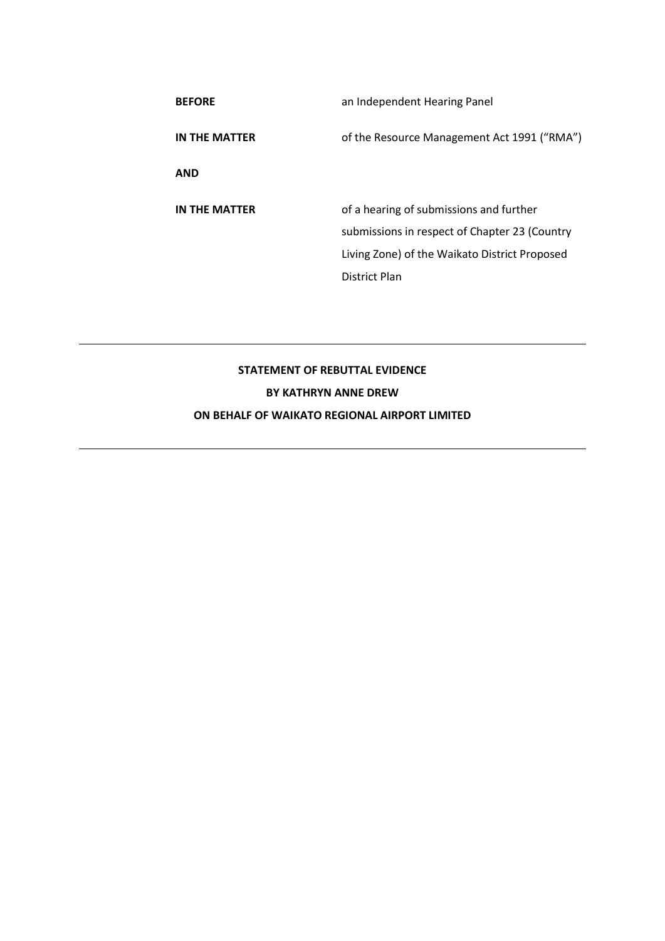| <b>BEFORE</b> | an Independent Hearing Panel                  |
|---------------|-----------------------------------------------|
| IN THE MATTER | of the Resource Management Act 1991 ("RMA")   |
| <b>AND</b>    |                                               |
| IN THE MATTER | of a hearing of submissions and further       |
|               | submissions in respect of Chapter 23 (Country |
|               | Living Zone) of the Waikato District Proposed |
|               | District Plan                                 |

# **STATEMENT OF REBUTTAL EVIDENCE BY KATHRYN ANNE DREW ON BEHALF OF WAIKATO REGIONAL AIRPORT LIMITED**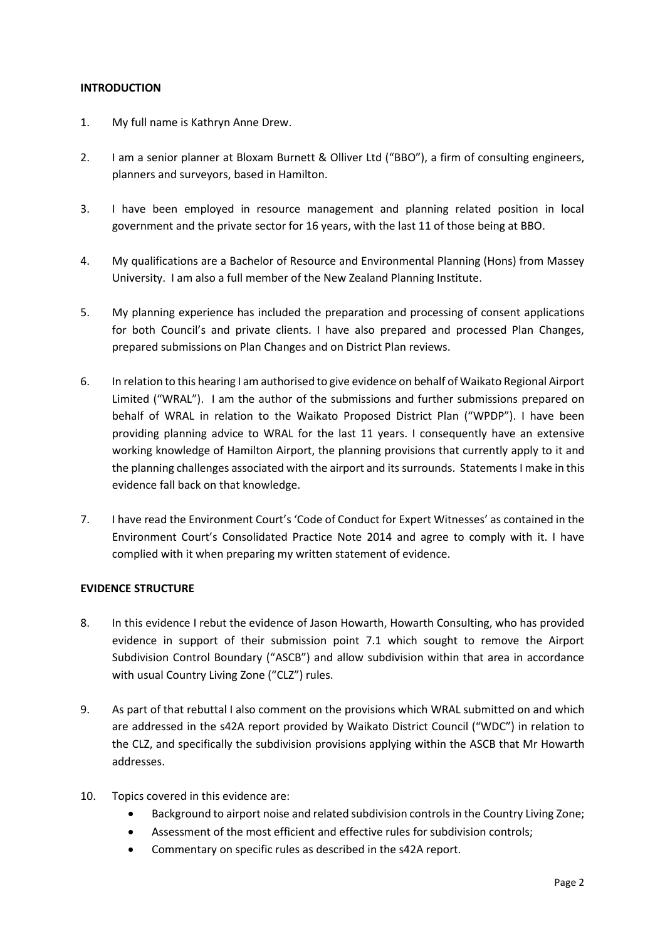#### **INTRODUCTION**

- 1. My full name is Kathryn Anne Drew.
- 2. I am a senior planner at Bloxam Burnett & Olliver Ltd ("BBO"), a firm of consulting engineers, planners and surveyors, based in Hamilton.
- 3. I have been employed in resource management and planning related position in local government and the private sector for 16 years, with the last 11 of those being at BBO.
- 4. My qualifications are a Bachelor of Resource and Environmental Planning (Hons) from Massey University. I am also a full member of the New Zealand Planning Institute.
- 5. My planning experience has included the preparation and processing of consent applications for both Council's and private clients. I have also prepared and processed Plan Changes, prepared submissions on Plan Changes and on District Plan reviews.
- 6. In relation to this hearing I am authorised to give evidence on behalf of Waikato Regional Airport Limited ("WRAL"). I am the author of the submissions and further submissions prepared on behalf of WRAL in relation to the Waikato Proposed District Plan ("WPDP"). I have been providing planning advice to WRAL for the last 11 years. I consequently have an extensive working knowledge of Hamilton Airport, the planning provisions that currently apply to it and the planning challenges associated with the airport and its surrounds. Statements I make in this evidence fall back on that knowledge.
- 7. I have read the Environment Court's 'Code of Conduct for Expert Witnesses' as contained in the Environment Court's Consolidated Practice Note 2014 and agree to comply with it. I have complied with it when preparing my written statement of evidence.

#### **EVIDENCE STRUCTURE**

- 8. In this evidence I rebut the evidence of Jason Howarth, Howarth Consulting, who has provided evidence in support of their submission point 7.1 which sought to remove the Airport Subdivision Control Boundary ("ASCB") and allow subdivision within that area in accordance with usual Country Living Zone ("CLZ") rules.
- 9. As part of that rebuttal I also comment on the provisions which WRAL submitted on and which are addressed in the s42A report provided by Waikato District Council ("WDC") in relation to the CLZ, and specifically the subdivision provisions applying within the ASCB that Mr Howarth addresses.
- 10. Topics covered in this evidence are:
	- Background to airport noise and related subdivision controls in the Country Living Zone;
	- Assessment of the most efficient and effective rules for subdivision controls;
	- Commentary on specific rules as described in the s42A report.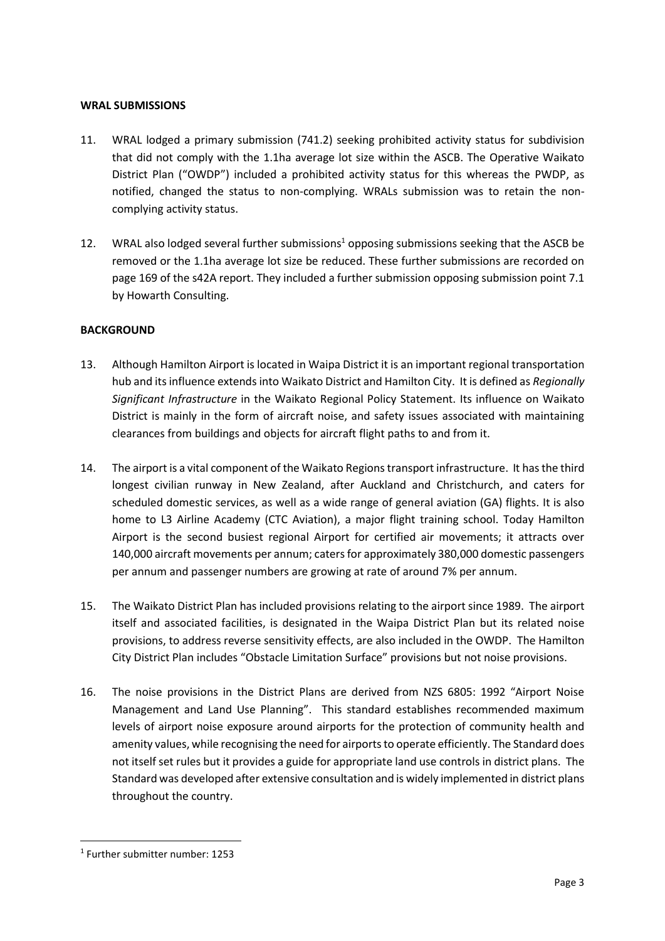#### **WRAL SUBMISSIONS**

- 11. WRAL lodged a primary submission (741.2) seeking prohibited activity status for subdivision that did not comply with the 1.1ha average lot size within the ASCB. The Operative Waikato District Plan ("OWDP") included a prohibited activity status for this whereas the PWDP, as notified, changed the status to non-complying. WRALs submission was to retain the noncomplying activity status.
- 12. WRAL also lodged several further submissions<sup>1</sup> opposing submissions seeking that the ASCB be removed or the 1.1ha average lot size be reduced. These further submissions are recorded on page 169 of the s42A report. They included a further submission opposing submission point 7.1 by Howarth Consulting.

## **BACKGROUND**

- 13. Although Hamilton Airport is located in Waipa District it is an important regional transportation hub and its influence extends into Waikato District and Hamilton City. It is defined as *Regionally Significant Infrastructure* in the Waikato Regional Policy Statement. Its influence on Waikato District is mainly in the form of aircraft noise, and safety issues associated with maintaining clearances from buildings and objects for aircraft flight paths to and from it.
- 14. The airport is a vital component of the Waikato Regions transport infrastructure. It has the third longest civilian runway in New Zealand, after Auckland and Christchurch, and caters for scheduled domestic services, as well as a wide range of general aviation (GA) flights. It is also home to L3 Airline Academy (CTC Aviation), a major flight training school. Today Hamilton Airport is the second busiest regional Airport for certified air movements; it attracts over 140,000 aircraft movements per annum; caters for approximately 380,000 domestic passengers per annum and passenger numbers are growing at rate of around 7% per annum.
- 15. The Waikato District Plan has included provisions relating to the airport since 1989. The airport itself and associated facilities, is designated in the Waipa District Plan but its related noise provisions, to address reverse sensitivity effects, are also included in the OWDP. The Hamilton City District Plan includes "Obstacle Limitation Surface" provisions but not noise provisions.
- 16. The noise provisions in the District Plans are derived from NZS 6805: 1992 "Airport Noise Management and Land Use Planning". This standard establishes recommended maximum levels of airport noise exposure around airports for the protection of community health and amenity values, while recognising the need for airports to operate efficiently. The Standard does not itself set rules but it provides a guide for appropriate land use controls in district plans. The Standard was developed after extensive consultation and is widely implemented in district plans throughout the country.

<sup>1</sup> Further submitter number: 1253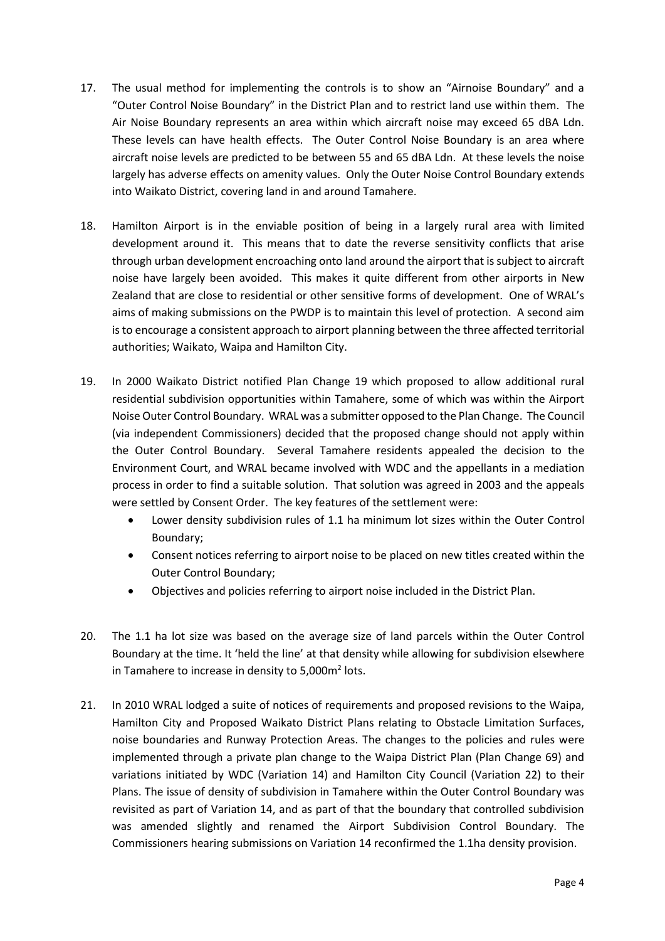- 17. The usual method for implementing the controls is to show an "Airnoise Boundary" and a "Outer Control Noise Boundary" in the District Plan and to restrict land use within them. The Air Noise Boundary represents an area within which aircraft noise may exceed 65 dBA Ldn. These levels can have health effects. The Outer Control Noise Boundary is an area where aircraft noise levels are predicted to be between 55 and 65 dBA Ldn. At these levels the noise largely has adverse effects on amenity values. Only the Outer Noise Control Boundary extends into Waikato District, covering land in and around Tamahere.
- 18. Hamilton Airport is in the enviable position of being in a largely rural area with limited development around it. This means that to date the reverse sensitivity conflicts that arise through urban development encroaching onto land around the airport that is subject to aircraft noise have largely been avoided. This makes it quite different from other airports in New Zealand that are close to residential or other sensitive forms of development. One of WRAL's aims of making submissions on the PWDP is to maintain this level of protection. A second aim is to encourage a consistent approach to airport planning between the three affected territorial authorities; Waikato, Waipa and Hamilton City.
- 19. In 2000 Waikato District notified Plan Change 19 which proposed to allow additional rural residential subdivision opportunities within Tamahere, some of which was within the Airport Noise Outer Control Boundary. WRAL was a submitter opposed to the Plan Change. The Council (via independent Commissioners) decided that the proposed change should not apply within the Outer Control Boundary. Several Tamahere residents appealed the decision to the Environment Court, and WRAL became involved with WDC and the appellants in a mediation process in order to find a suitable solution. That solution was agreed in 2003 and the appeals were settled by Consent Order. The key features of the settlement were:
	- Lower density subdivision rules of 1.1 ha minimum lot sizes within the Outer Control Boundary;
	- Consent notices referring to airport noise to be placed on new titles created within the Outer Control Boundary;
	- Objectives and policies referring to airport noise included in the District Plan.
- 20. The 1.1 ha lot size was based on the average size of land parcels within the Outer Control Boundary at the time. It 'held the line' at that density while allowing for subdivision elsewhere in Tamahere to increase in density to 5,000 $m<sup>2</sup>$  lots.
- 21. In 2010 WRAL lodged a suite of notices of requirements and proposed revisions to the Waipa, Hamilton City and Proposed Waikato District Plans relating to Obstacle Limitation Surfaces, noise boundaries and Runway Protection Areas. The changes to the policies and rules were implemented through a private plan change to the Waipa District Plan (Plan Change 69) and variations initiated by WDC (Variation 14) and Hamilton City Council (Variation 22) to their Plans. The issue of density of subdivision in Tamahere within the Outer Control Boundary was revisited as part of Variation 14, and as part of that the boundary that controlled subdivision was amended slightly and renamed the Airport Subdivision Control Boundary. The Commissioners hearing submissions on Variation 14 reconfirmed the 1.1ha density provision.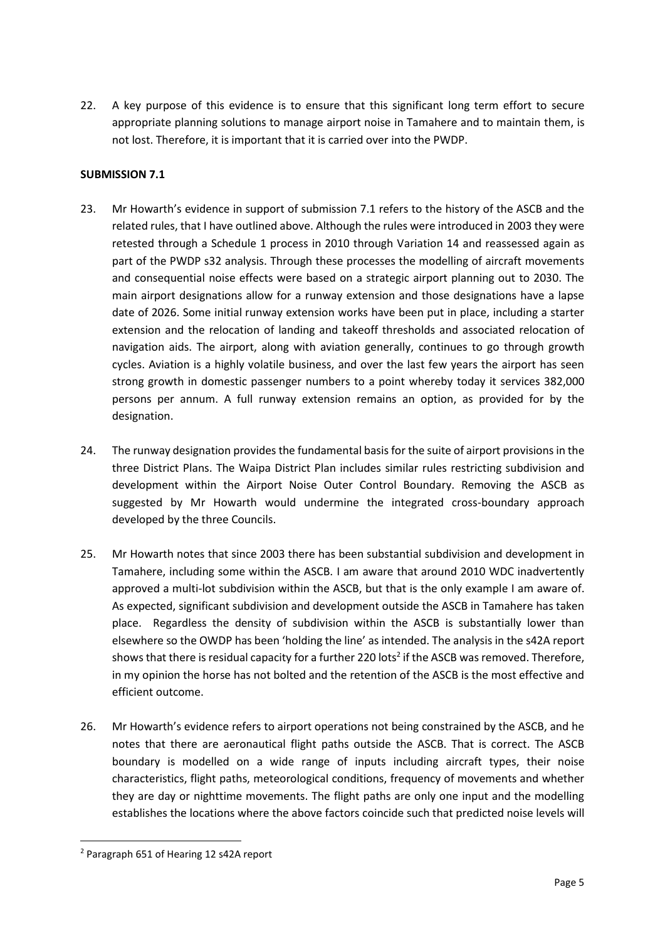22. A key purpose of this evidence is to ensure that this significant long term effort to secure appropriate planning solutions to manage airport noise in Tamahere and to maintain them, is not lost. Therefore, it is important that it is carried over into the PWDP.

## **SUBMISSION 7.1**

- 23. Mr Howarth's evidence in support of submission 7.1 refers to the history of the ASCB and the related rules, that I have outlined above. Although the rules were introduced in 2003 they were retested through a Schedule 1 process in 2010 through Variation 14 and reassessed again as part of the PWDP s32 analysis. Through these processes the modelling of aircraft movements and consequential noise effects were based on a strategic airport planning out to 2030. The main airport designations allow for a runway extension and those designations have a lapse date of 2026. Some initial runway extension works have been put in place, including a starter extension and the relocation of landing and takeoff thresholds and associated relocation of navigation aids. The airport, along with aviation generally, continues to go through growth cycles. Aviation is a highly volatile business, and over the last few years the airport has seen strong growth in domestic passenger numbers to a point whereby today it services 382,000 persons per annum. A full runway extension remains an option, as provided for by the designation.
- 24. The runway designation provides the fundamental basis for the suite of airport provisions in the three District Plans. The Waipa District Plan includes similar rules restricting subdivision and development within the Airport Noise Outer Control Boundary. Removing the ASCB as suggested by Mr Howarth would undermine the integrated cross-boundary approach developed by the three Councils.
- 25. Mr Howarth notes that since 2003 there has been substantial subdivision and development in Tamahere, including some within the ASCB. I am aware that around 2010 WDC inadvertently approved a multi-lot subdivision within the ASCB, but that is the only example I am aware of. As expected, significant subdivision and development outside the ASCB in Tamahere has taken place. Regardless the density of subdivision within the ASCB is substantially lower than elsewhere so the OWDP has been 'holding the line' as intended. The analysis in the s42A report shows that there is residual capacity for a further 220 lots<sup>2</sup> if the ASCB was removed. Therefore, in my opinion the horse has not bolted and the retention of the ASCB is the most effective and efficient outcome.
- 26. Mr Howarth's evidence refers to airport operations not being constrained by the ASCB, and he notes that there are aeronautical flight paths outside the ASCB. That is correct. The ASCB boundary is modelled on a wide range of inputs including aircraft types, their noise characteristics, flight paths, meteorological conditions, frequency of movements and whether they are day or nighttime movements. The flight paths are only one input and the modelling establishes the locations where the above factors coincide such that predicted noise levels will

<sup>2</sup> Paragraph 651 of Hearing 12 s42A report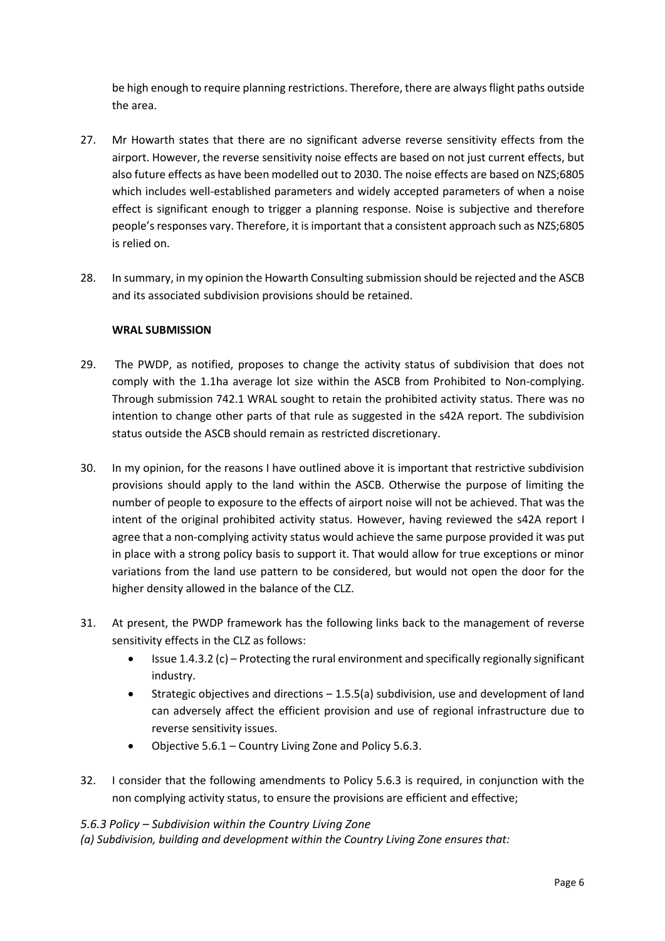be high enough to require planning restrictions. Therefore, there are always flight paths outside the area.

- 27. Mr Howarth states that there are no significant adverse reverse sensitivity effects from the airport. However, the reverse sensitivity noise effects are based on not just current effects, but also future effects as have been modelled out to 2030. The noise effects are based on NZS;6805 which includes well-established parameters and widely accepted parameters of when a noise effect is significant enough to trigger a planning response. Noise is subjective and therefore people's responses vary. Therefore, it is important that a consistent approach such as NZS;6805 is relied on.
- 28. In summary, in my opinion the Howarth Consulting submission should be rejected and the ASCB and its associated subdivision provisions should be retained.

## **WRAL SUBMISSION**

- 29. The PWDP, as notified, proposes to change the activity status of subdivision that does not comply with the 1.1ha average lot size within the ASCB from Prohibited to Non-complying. Through submission 742.1 WRAL sought to retain the prohibited activity status. There was no intention to change other parts of that rule as suggested in the s42A report. The subdivision status outside the ASCB should remain as restricted discretionary.
- 30. In my opinion, for the reasons I have outlined above it is important that restrictive subdivision provisions should apply to the land within the ASCB. Otherwise the purpose of limiting the number of people to exposure to the effects of airport noise will not be achieved. That was the intent of the original prohibited activity status. However, having reviewed the s42A report I agree that a non-complying activity status would achieve the same purpose provided it was put in place with a strong policy basis to support it. That would allow for true exceptions or minor variations from the land use pattern to be considered, but would not open the door for the higher density allowed in the balance of the CLZ.
- 31. At present, the PWDP framework has the following links back to the management of reverse sensitivity effects in the CLZ as follows:
	- Issue 1.4.3.2 (c) Protecting the rural environment and specifically regionally significant industry.
	- Strategic objectives and directions 1.5.5(a) subdivision, use and development of land can adversely affect the efficient provision and use of regional infrastructure due to reverse sensitivity issues.
	- Objective 5.6.1 Country Living Zone and Policy 5.6.3.
- 32. I consider that the following amendments to Policy 5.6.3 is required, in conjunction with the non complying activity status, to ensure the provisions are efficient and effective;

## *5.6.3 Policy – Subdivision within the Country Living Zone*

*(a) Subdivision, building and development within the Country Living Zone ensures that:*